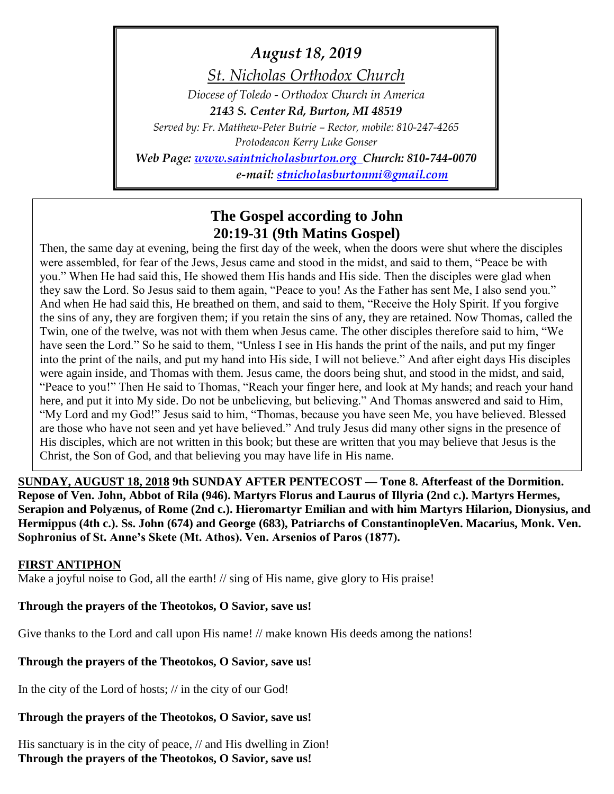*August 18, 2019*

*St. Nicholas Orthodox Church*

*Diocese of Toledo - Orthodox Church in America*

*2143 S. Center Rd, Burton, MI 48519*

*Served by: Fr. Matthew-Peter Butrie – Rector, mobile: 810-247-4265*

*Protodeacon Kerry Luke Gonser*

*Web Page: [www.saintnicholasburton.org](http://www.saintnicholasburton.org/) Church: 810-744-0070*

*e-mail: [stnicholasburtonmi@gmail.com](mailto:stnicholasburtonmi@gmail.com)*

# **The Gospel according to John 20:19-31 (9th Matins Gospel)**

Then, the same day at evening, being the first day of the week, when the doors were shut where the disciples were assembled, for fear of the Jews, Jesus came and stood in the midst, and said to them, "Peace be with you." When He had said this, He showed them His hands and His side. Then the disciples were glad when they saw the Lord. So Jesus said to them again, "Peace to you! As the Father has sent Me, I also send you." And when He had said this, He breathed on them, and said to them, "Receive the Holy Spirit. If you forgive the sins of any, they are forgiven them; if you retain the sins of any, they are retained. Now Thomas, called the Twin, one of the twelve, was not with them when Jesus came. The other disciples therefore said to him, "We have seen the Lord." So he said to them, "Unless I see in His hands the print of the nails, and put my finger into the print of the nails, and put my hand into His side, I will not believe." And after eight days His disciples were again inside, and Thomas with them. Jesus came, the doors being shut, and stood in the midst, and said, "Peace to you!" Then He said to Thomas, "Reach your finger here, and look at My hands; and reach your hand here, and put it into My side. Do not be unbelieving, but believing." And Thomas answered and said to Him, "My Lord and my God!" Jesus said to him, "Thomas, because you have seen Me, you have believed. Blessed are those who have not seen and yet have believed." And truly Jesus did many other signs in the presence of His disciples, which are not written in this book; but these are written that you may believe that Jesus is the Christ, the Son of God, and that believing you may have life in His name.

**SUNDAY, AUGUST 18, 2018 9th SUNDAY AFTER PENTECOST — Tone 8. Afterfeast of the Dormition. Repose of Ven. John, Abbot of Rila (946). Martyrs Florus and Laurus of Illyria (2nd c.). Martyrs Hermes, Serapion and Polyænus, of Rome (2nd c.). Hieromartyr Emilian and with him Martyrs Hilarion, Dionysius, and Hermippus (4th c.). Ss. John (674) and George (683), Patriarchs of ConstantinopleVen. Macarius, Monk. Ven. Sophronius of St. Anne's Skete (Mt. Athos). Ven. Arsenios of Paros (1877).** 

#### **FIRST ANTIPHON**

Make a joyful noise to God, all the earth! // sing of His name, give glory to His praise!

# **Through the prayers of the Theotokos, O Savior, save us!**

Give thanks to the Lord and call upon His name! // make known His deeds among the nations!

# **Through the prayers of the Theotokos, O Savior, save us!**

In the city of the Lord of hosts; // in the city of our God!

# **Through the prayers of the Theotokos, O Savior, save us!**

His sanctuary is in the city of peace, // and His dwelling in Zion! **Through the prayers of the Theotokos, O Savior, save us!**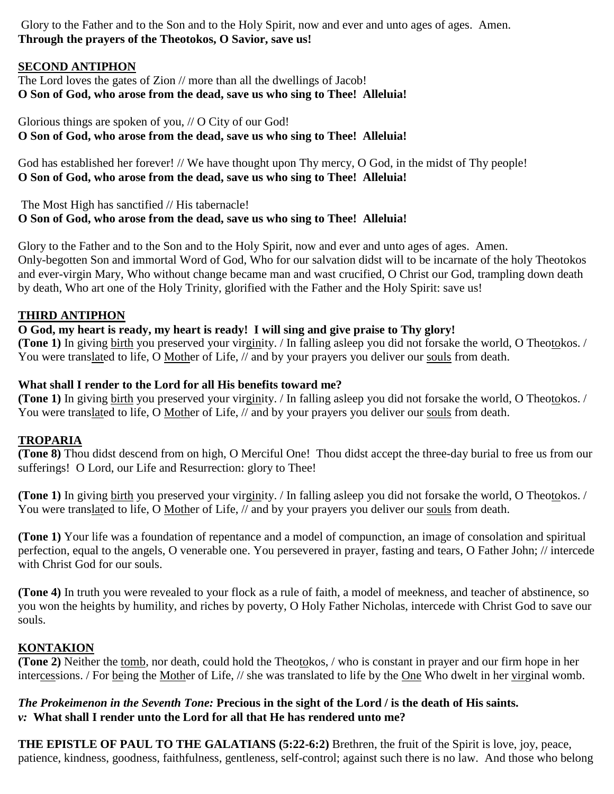Glory to the Father and to the Son and to the Holy Spirit, now and ever and unto ages of ages. Amen. **Through the prayers of the Theotokos, O Savior, save us!**

# **SECOND ANTIPHON**

The Lord loves the gates of Zion // more than all the dwellings of Jacob! **O Son of God, who arose from the dead, save us who sing to Thee! Alleluia!**

Glorious things are spoken of you, // O City of our God! **O Son of God, who arose from the dead, save us who sing to Thee! Alleluia!**

God has established her forever! // We have thought upon Thy mercy, O God, in the midst of Thy people! **O Son of God, who arose from the dead, save us who sing to Thee! Alleluia!**

The Most High has sanctified // His tabernacle! **O Son of God, who arose from the dead, save us who sing to Thee! Alleluia!**

Glory to the Father and to the Son and to the Holy Spirit, now and ever and unto ages of ages. Amen. Only-begotten Son and immortal Word of God, Who for our salvation didst will to be incarnate of the holy Theotokos and ever-virgin Mary, Who without change became man and wast crucified, O Christ our God, trampling down death by death, Who art one of the Holy Trinity, glorified with the Father and the Holy Spirit: save us!

#### **THIRD ANTIPHON**

**O God, my heart is ready, my heart is ready! I will sing and give praise to Thy glory!**

**(Tone 1)** In giving birth you preserved your virginity. / In falling asleep you did not forsake the world, O Theotokos. / You were translated to life, O Mother of Life, // and by your prayers you deliver our souls from death.

#### **What shall I render to the Lord for all His benefits toward me?**

**(Tone 1)** In giving birth you preserved your virginity. / In falling asleep you did not forsake the world, O Theotokos. / You were translated to life, O Mother of Life, // and by your prayers you deliver our souls from death.

#### **TROPARIA**

**(Tone 8)** Thou didst descend from on high, O Merciful One! Thou didst accept the three-day burial to free us from our sufferings! O Lord, our Life and Resurrection: glory to Thee!

**(Tone 1)** In giving birth you preserved your virginity. / In falling asleep you did not forsake the world, O Theotokos. / You were translated to life, O Mother of Life, // and by your prayers you deliver our souls from death.

**(Tone 1)** Your life was a foundation of repentance and a model of compunction, an image of consolation and spiritual perfection, equal to the angels, O venerable one. You persevered in prayer, fasting and tears, O Father John; // intercede with Christ God for our souls.

**(Tone 4)** In truth you were revealed to your flock as a rule of faith, a model of meekness, and teacher of abstinence, so you won the heights by humility, and riches by poverty, O Holy Father Nicholas, intercede with Christ God to save our souls.

#### **KONTAKION**

**(Tone 2)** Neither the tomb, nor death, could hold the Theotokos, / who is constant in prayer and our firm hope in her intercessions. / For being the Mother of Life, // she was translated to life by the One Who dwelt in her virginal womb.

#### *The Prokeimenon in the Seventh Tone:* **Precious in the sight of the Lord / is the death of His saints.** *v:* **What shall I render unto the Lord for all that He has rendered unto me?**

**THE EPISTLE OF PAUL TO THE GALATIANS (5:22-6:2)** Brethren, the fruit of the Spirit is love, joy, peace, patience, kindness, goodness, faithfulness, gentleness, self-control; against such there is no law. And those who belong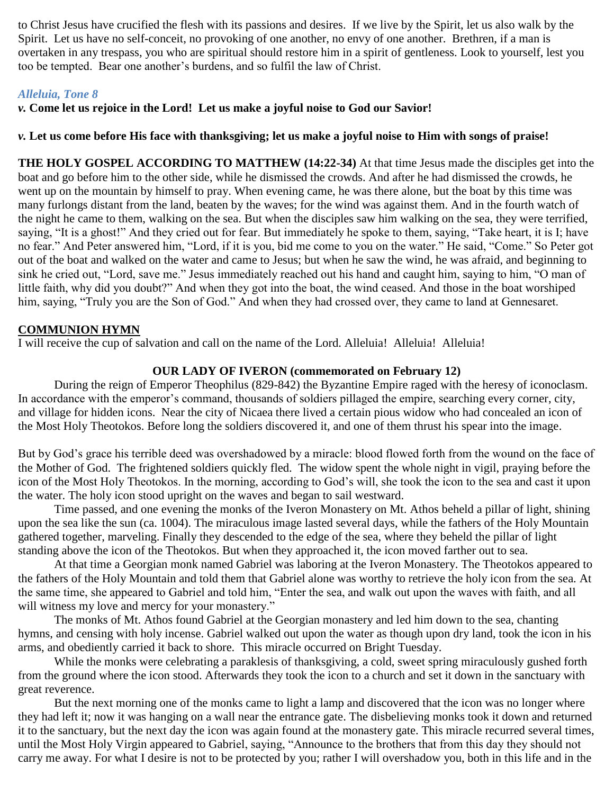to Christ Jesus have crucified the flesh with its passions and desires. If we live by the Spirit, let us also walk by the Spirit. Let us have no self-conceit, no provoking of one another, no envy of one another. Brethren, if a man is overtaken in any trespass, you who are spiritual should restore him in a spirit of gentleness. Look to yourself, lest you too be tempted. Bear one another's burdens, and so fulfil the law of Christ.

# *Alleluia, Tone 8*

*v.* **Come let us rejoice in the Lord! Let us make a joyful noise to God our Savior!**

# *v.* **Let us come before His face with thanksgiving; let us make a joyful noise to Him with songs of praise!**

**THE HOLY GOSPEL ACCORDING TO MATTHEW (14:22-34)** At that time Jesus made the disciples get into the boat and go before him to the other side, while he dismissed the crowds. And after he had dismissed the crowds, he went up on the mountain by himself to pray. When evening came, he was there alone, but the boat by this time was many furlongs distant from the land, beaten by the waves; for the wind was against them. And in the fourth watch of the night he came to them, walking on the sea. But when the disciples saw him walking on the sea, they were terrified, saying, "It is a ghost!" And they cried out for fear. But immediately he spoke to them, saying, "Take heart, it is I; have no fear." And Peter answered him, "Lord, if it is you, bid me come to you on the water." He said, "Come." So Peter got out of the boat and walked on the water and came to Jesus; but when he saw the wind, he was afraid, and beginning to sink he cried out, "Lord, save me." Jesus immediately reached out his hand and caught him, saying to him, "O man of little faith, why did you doubt?" And when they got into the boat, the wind ceased. And those in the boat worshiped him, saying, "Truly you are the Son of God." And when they had crossed over, they came to land at Gennesaret.

### **COMMUNION HYMN**

I will receive the cup of salvation and call on the name of the Lord. Alleluia! Alleluia! Alleluia!

### **OUR LADY OF IVERON (commemorated on February 12)**

During the reign of Emperor Theophilus (829-842) the Byzantine Empire raged with the heresy of iconoclasm. In accordance with the emperor's command, thousands of soldiers pillaged the empire, searching every corner, city, and village for hidden icons. Near the city of Nicaea there lived a certain pious widow who had concealed an icon of the Most Holy Theotokos. Before long the soldiers discovered it, and one of them thrust his spear into the image.

But by God's grace his terrible deed was overshadowed by a miracle: blood flowed forth from the wound on the face of the Mother of God. The frightened soldiers quickly fled. The widow spent the whole night in vigil, praying before the icon of the Most Holy Theotokos. In the morning, according to God's will, she took the icon to the sea and cast it upon the water. The holy icon stood upright on the waves and began to sail westward.

Time passed, and one evening the monks of the Iveron Monastery on Mt. Athos beheld a pillar of light, shining upon the sea like the sun (ca. 1004). The miraculous image lasted several days, while the fathers of the Holy Mountain gathered together, marveling. Finally they descended to the edge of the sea, where they beheld the pillar of light standing above the icon of the Theotokos. But when they approached it, the icon moved farther out to sea.

At that time a Georgian monk named Gabriel was laboring at the Iveron Monastery. The Theotokos appeared to the fathers of the Holy Mountain and told them that Gabriel alone was worthy to retrieve the holy icon from the sea. At the same time, she appeared to Gabriel and told him, "Enter the sea, and walk out upon the waves with faith, and all will witness my love and mercy for your monastery."

The monks of Mt. Athos found Gabriel at the Georgian monastery and led him down to the sea, chanting hymns, and censing with holy incense. Gabriel walked out upon the water as though upon dry land, took the icon in his arms, and obediently carried it back to shore. This miracle occurred on Bright Tuesday.

While the monks were celebrating a paraklesis of thanksgiving, a cold, sweet spring miraculously gushed forth from the ground where the icon stood. Afterwards they took the icon to a church and set it down in the sanctuary with great reverence.

But the next morning one of the monks came to light a lamp and discovered that the icon was no longer where they had left it; now it was hanging on a wall near the entrance gate. The disbelieving monks took it down and returned it to the sanctuary, but the next day the icon was again found at the monastery gate. This miracle recurred several times, until the Most Holy Virgin appeared to Gabriel, saying, "Announce to the brothers that from this day they should not carry me away. For what I desire is not to be protected by you; rather I will overshadow you, both in this life and in the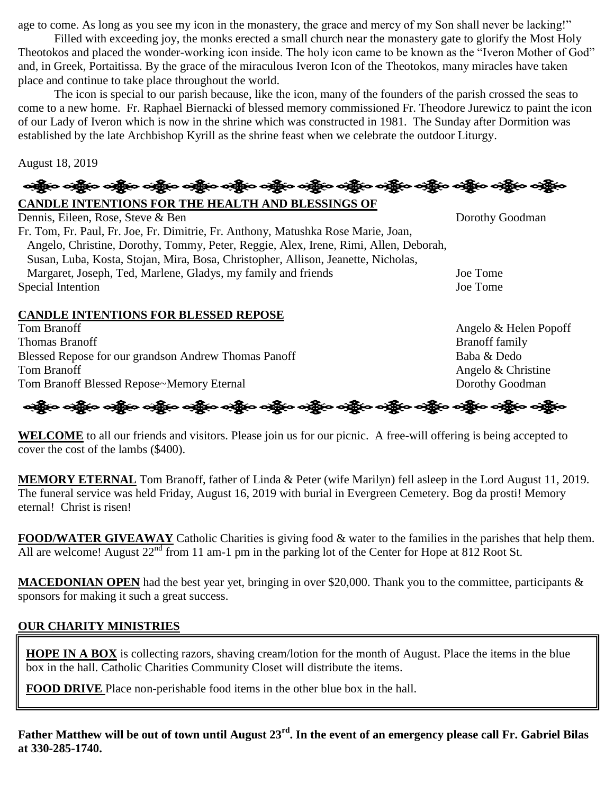age to come. As long as you see my icon in the monastery, the grace and mercy of my Son shall never be lacking!"

Filled with exceeding joy, the monks erected a small church near the monastery gate to glorify the Most Holy Theotokos and placed the wonder-working icon inside. The holy icon came to be known as the "Iveron Mother of God" and, in Greek, Portaitissa. By the grace of the miraculous Iveron Icon of the Theotokos, many miracles have taken place and continue to take place throughout the world.

The icon is special to our parish because, like the icon, many of the founders of the parish crossed the seas to come to a new home. Fr. Raphael Biernacki of blessed memory commissioned Fr. Theodore Jurewicz to paint the icon of our Lady of Iveron which is now in the shrine which was constructed in 1981. The Sunday after Dormition was established by the late Archbishop Kyrill as the shrine feast when we celebrate the outdoor Liturgy.

August 18, 2019

ခရွို့လ ခရွို့လ ခရွိမ် တို့မှာ ပြောင်း ခရွိပါ သို့မှာ ခရွိပါ သို့မှာ ခရွိပါ သို့မှာ သည်။ သို့မှာ ခရွိပါ သည်။ **CANDLE INTENTIONS FOR THE HEALTH AND BLESSINGS OF** 

Dennis, Eileen, Rose, Steve & Ben Dorothy Goodman Fr. Tom, Fr. Paul, Fr. Joe, Fr. Dimitrie, Fr. Anthony, Matushka Rose Marie, Joan, Angelo, Christine, Dorothy, Tommy, Peter, Reggie, Alex, Irene, Rimi, Allen, Deborah, Susan, Luba, Kosta, Stojan, Mira, Bosa, Christopher, Allison, Jeanette, Nicholas, Margaret, Joseph, Ted, Marlene, Gladys, my family and friends Joe Tome Special Intention Joe Tome

### **CANDLE INTENTIONS FOR BLESSED REPOSE**

Tom Branoff Angelo & Helen Popoff Thomas Branoff **Branch** Branch Branch Branch Branch Branch Branch Branch Branch Branch Branch Branch Branch Branch Branch Branch Branch Branch Branch Branch Branch Branch Branch Branch Branch Branch Branch Branch Branch Br Blessed Repose for our grandson Andrew Thomas Panoff Baba & Dedo Tom Branoff Angelo & Christine Tom Branoff Blessed Repose~Memory Eternal Dorothy Goodman

ခရွိက ခရွိက ခရွိက ခရွိက အိုင်း အိုင်း ခရွိက ခရွိက ခရွိက ခရွိက ခရွိက ခရွိက ခရွိက ခရွိက ခရွိက

**WELCOME** to all our friends and visitors. Please join us for our picnic. A free-will offering is being accepted to cover the cost of the lambs (\$400).

**MEMORY ETERNAL** Tom Branoff, father of Linda & Peter (wife Marilyn) fell asleep in the Lord August 11, 2019. The funeral service was held Friday, August 16, 2019 with burial in Evergreen Cemetery. Bog da prosti! Memory eternal! Christ is risen!

**FOOD/WATER GIVEAWAY** Catholic Charities is giving food & water to the families in the parishes that help them. All are welcome! August  $22<sup>nd</sup>$  from 11 am-1 pm in the parking lot of the Center for Hope at 812 Root St.

**MACEDONIAN OPEN** had the best year yet, bringing in over \$20,000. Thank you to the committee, participants & sponsors for making it such a great success.

#### **OUR CHARITY MINISTRIES**

**HOPE IN A BOX** is collecting razors, shaving cream/lotion for the month of August. Place the items in the blue box in the hall. Catholic Charities Community Closet will distribute the items.

**FOOD DRIVE** Place non-perishable food items in the other blue box in the hall.

**Father Matthew will be out of town until August 23rd . In the event of an emergency please call Fr. Gabriel Bilas at 330-285-1740.**